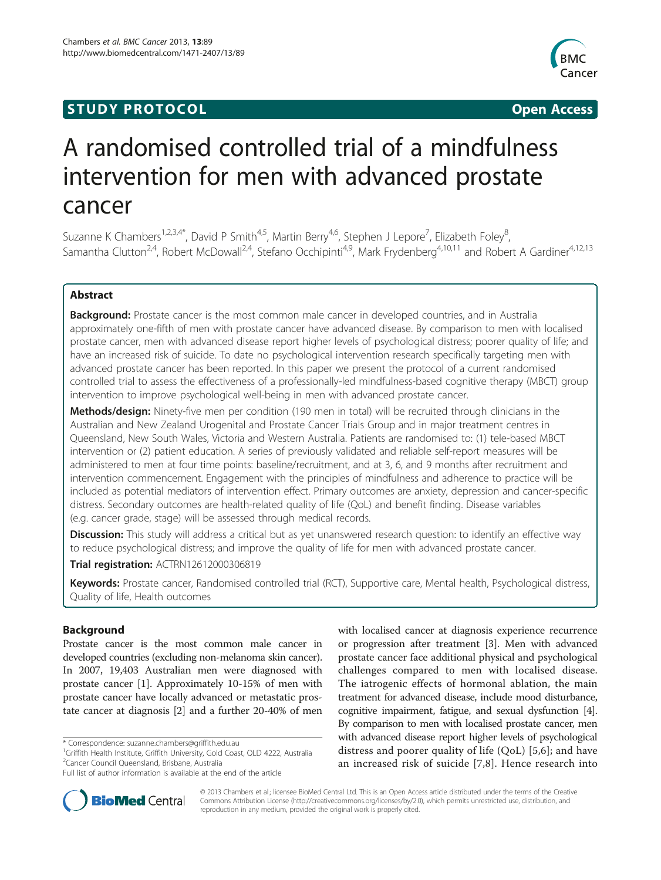# **STUDY PROTOCOL CONSUMING THE CONSUMING OPEN ACCESS**



# A randomised controlled trial of a mindfulness intervention for men with advanced prostate cancer

Suzanne K Chambers<sup>1,2,3,4\*</sup>, David P Smith<sup>4,5</sup>, Martin Berry<sup>4,6</sup>, Stephen J Lepore<sup>7</sup>, Elizabeth Foley<sup>8</sup> , Samantha Clutton<sup>2,4</sup>, Robert McDowall<sup>2,4</sup>, Stefano Occhipinti<sup>4,9</sup>, Mark Frydenberg<sup>4,10,11</sup> and Robert A Gardiner<sup>4,12,13</sup>

# Abstract

**Background:** Prostate cancer is the most common male cancer in developed countries, and in Australia approximately one-fifth of men with prostate cancer have advanced disease. By comparison to men with localised prostate cancer, men with advanced disease report higher levels of psychological distress; poorer quality of life; and have an increased risk of suicide. To date no psychological intervention research specifically targeting men with advanced prostate cancer has been reported. In this paper we present the protocol of a current randomised controlled trial to assess the effectiveness of a professionally-led mindfulness-based cognitive therapy (MBCT) group intervention to improve psychological well-being in men with advanced prostate cancer.

Methods/design: Ninety-five men per condition (190 men in total) will be recruited through clinicians in the Australian and New Zealand Urogenital and Prostate Cancer Trials Group and in major treatment centres in Queensland, New South Wales, Victoria and Western Australia. Patients are randomised to: (1) tele-based MBCT intervention or (2) patient education. A series of previously validated and reliable self-report measures will be administered to men at four time points: baseline/recruitment, and at 3, 6, and 9 months after recruitment and intervention commencement. Engagement with the principles of mindfulness and adherence to practice will be included as potential mediators of intervention effect. Primary outcomes are anxiety, depression and cancer-specific distress. Secondary outcomes are health-related quality of life (QoL) and benefit finding. Disease variables (e.g. cancer grade, stage) will be assessed through medical records.

Discussion: This study will address a critical but as yet unanswered research question: to identify an effective way to reduce psychological distress; and improve the quality of life for men with advanced prostate cancer.

**Trial registration: [ACTRN12612000306819](https://www.anzctr.org.au/Trial/Registration/TrialReview.aspx?id=362214)** 

Keywords: Prostate cancer, Randomised controlled trial (RCT), Supportive care, Mental health, Psychological distress, Quality of life, Health outcomes

# Background

Prostate cancer is the most common male cancer in developed countries (excluding non-melanoma skin cancer). In 2007, 19,403 Australian men were diagnosed with prostate cancer [[1\]](#page-4-0). Approximately 10-15% of men with prostate cancer have locally advanced or metastatic prostate cancer at diagnosis [\[2](#page-4-0)] and a further 20-40% of men

with localised cancer at diagnosis experience recurrence or progression after treatment [\[3](#page-4-0)]. Men with advanced prostate cancer face additional physical and psychological challenges compared to men with localised disease. The iatrogenic effects of hormonal ablation, the main treatment for advanced disease, include mood disturbance, cognitive impairment, fatigue, and sexual dysfunction [[4](#page-4-0)]. By comparison to men with localised prostate cancer, men with advanced disease report higher levels of psychological distress and poorer quality of life  $(OoL)$  [[5,6](#page-4-0)]; and have an increased risk of suicide [[7,8\]](#page-4-0). Hence research into



© 2013 Chambers et al.; licensee BioMed Central Ltd. This is an Open Access article distributed under the terms of the Creative Commons Attribution License [\(http://creativecommons.org/licenses/by/2.0\)](http://creativecommons.org/licenses/by/2.0), which permits unrestricted use, distribution, and reproduction in any medium, provided the original work is properly cited.

<sup>\*</sup> Correspondence: [suzanne.chambers@griffith.edu.au](mailto:suzanne.chambers@griffith.edu.au) <sup>1</sup>

<sup>&</sup>lt;sup>1</sup>Griffith Health Institute, Griffith University, Gold Coast, QLD 4222, Australia 2 Cancer Council Queensland, Brisbane, Australia

Full list of author information is available at the end of the article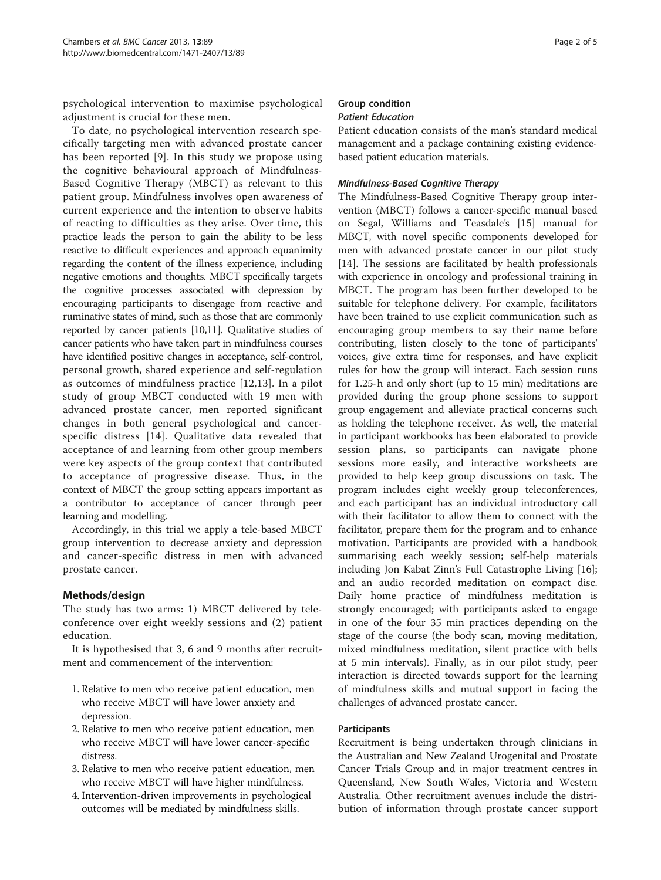psychological intervention to maximise psychological adjustment is crucial for these men.

To date, no psychological intervention research specifically targeting men with advanced prostate cancer has been reported [[9\]](#page-4-0). In this study we propose using the cognitive behavioural approach of Mindfulness-Based Cognitive Therapy (MBCT) as relevant to this patient group. Mindfulness involves open awareness of current experience and the intention to observe habits of reacting to difficulties as they arise. Over time, this practice leads the person to gain the ability to be less reactive to difficult experiences and approach equanimity regarding the content of the illness experience, including negative emotions and thoughts. MBCT specifically targets the cognitive processes associated with depression by encouraging participants to disengage from reactive and ruminative states of mind, such as those that are commonly reported by cancer patients [\[10,11\]](#page-4-0). Qualitative studies of cancer patients who have taken part in mindfulness courses have identified positive changes in acceptance, self-control, personal growth, shared experience and self-regulation as outcomes of mindfulness practice [\[12](#page-4-0),[13\]](#page-4-0). In a pilot study of group MBCT conducted with 19 men with advanced prostate cancer, men reported significant changes in both general psychological and cancerspecific distress [[14](#page-4-0)]. Qualitative data revealed that acceptance of and learning from other group members were key aspects of the group context that contributed to acceptance of progressive disease. Thus, in the context of MBCT the group setting appears important as a contributor to acceptance of cancer through peer learning and modelling.

Accordingly, in this trial we apply a tele-based MBCT group intervention to decrease anxiety and depression and cancer-specific distress in men with advanced prostate cancer.

# Methods/design

The study has two arms: 1) MBCT delivered by teleconference over eight weekly sessions and (2) patient education.

It is hypothesised that 3, 6 and 9 months after recruitment and commencement of the intervention:

- 1. Relative to men who receive patient education, men who receive MBCT will have lower anxiety and depression.
- 2. Relative to men who receive patient education, men who receive MBCT will have lower cancer-specific distress.
- 3. Relative to men who receive patient education, men who receive MBCT will have higher mindfulness.
- 4. Intervention-driven improvements in psychological outcomes will be mediated by mindfulness skills.

# Group condition

# Patient Education

Patient education consists of the man's standard medical management and a package containing existing evidencebased patient education materials.

# Mindfulness-Based Cognitive Therapy

The Mindfulness-Based Cognitive Therapy group intervention (MBCT) follows a cancer-specific manual based on Segal, Williams and Teasdale's [\[15](#page-4-0)] manual for MBCT, with novel specific components developed for men with advanced prostate cancer in our pilot study [[14\]](#page-4-0). The sessions are facilitated by health professionals with experience in oncology and professional training in MBCT. The program has been further developed to be suitable for telephone delivery. For example, facilitators have been trained to use explicit communication such as encouraging group members to say their name before contributing, listen closely to the tone of participants' voices, give extra time for responses, and have explicit rules for how the group will interact. Each session runs for 1.25-h and only short (up to 15 min) meditations are provided during the group phone sessions to support group engagement and alleviate practical concerns such as holding the telephone receiver. As well, the material in participant workbooks has been elaborated to provide session plans, so participants can navigate phone sessions more easily, and interactive worksheets are provided to help keep group discussions on task. The program includes eight weekly group teleconferences, and each participant has an individual introductory call with their facilitator to allow them to connect with the facilitator, prepare them for the program and to enhance motivation. Participants are provided with a handbook summarising each weekly session; self-help materials including Jon Kabat Zinn's Full Catastrophe Living [\[16](#page-4-0)]; and an audio recorded meditation on compact disc. Daily home practice of mindfulness meditation is strongly encouraged; with participants asked to engage in one of the four 35 min practices depending on the stage of the course (the body scan, moving meditation, mixed mindfulness meditation, silent practice with bells at 5 min intervals). Finally, as in our pilot study, peer interaction is directed towards support for the learning of mindfulness skills and mutual support in facing the challenges of advanced prostate cancer.

## Participants

Recruitment is being undertaken through clinicians in the Australian and New Zealand Urogenital and Prostate Cancer Trials Group and in major treatment centres in Queensland, New South Wales, Victoria and Western Australia. Other recruitment avenues include the distribution of information through prostate cancer support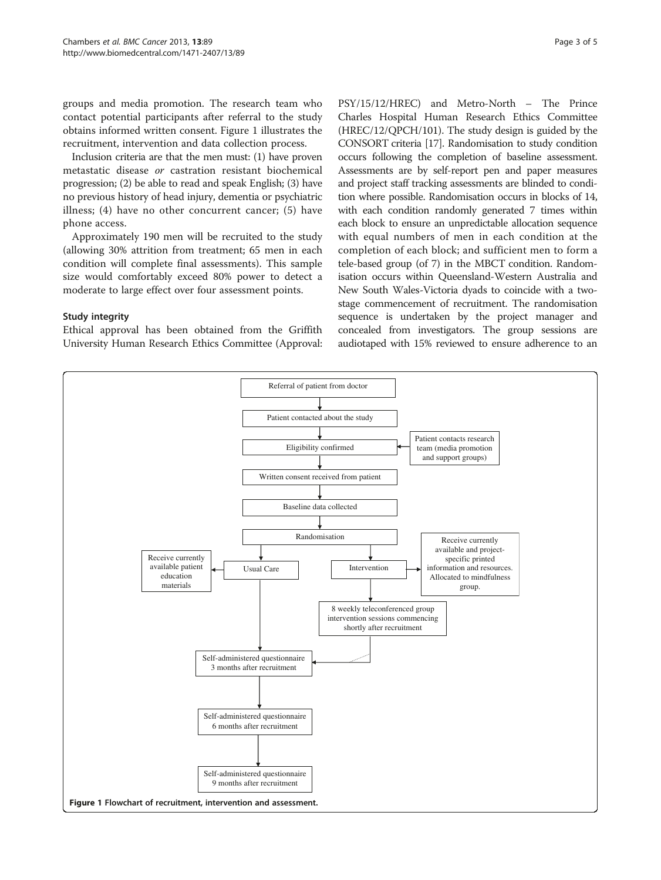groups and media promotion. The research team who contact potential participants after referral to the study obtains informed written consent. Figure 1 illustrates the recruitment, intervention and data collection process.

Inclusion criteria are that the men must: (1) have proven metastatic disease or castration resistant biochemical progression; (2) be able to read and speak English; (3) have no previous history of head injury, dementia or psychiatric illness; (4) have no other concurrent cancer; (5) have phone access.

Approximately 190 men will be recruited to the study (allowing 30% attrition from treatment; 65 men in each condition will complete final assessments). This sample size would comfortably exceed 80% power to detect a moderate to large effect over four assessment points.

#### Study integrity

Ethical approval has been obtained from the Griffith University Human Research Ethics Committee (Approval:

PSY/15/12/HREC) and Metro-North – The Prince Charles Hospital Human Research Ethics Committee (HREC/12/QPCH/101). The study design is guided by the CONSORT criteria [\[17\]](#page-4-0). Randomisation to study condition occurs following the completion of baseline assessment. Assessments are by self-report pen and paper measures and project staff tracking assessments are blinded to condition where possible. Randomisation occurs in blocks of 14, with each condition randomly generated 7 times within each block to ensure an unpredictable allocation sequence with equal numbers of men in each condition at the completion of each block; and sufficient men to form a tele-based group (of 7) in the MBCT condition. Randomisation occurs within Queensland-Western Australia and New South Wales-Victoria dyads to coincide with a twostage commencement of recruitment. The randomisation sequence is undertaken by the project manager and concealed from investigators. The group sessions are audiotaped with 15% reviewed to ensure adherence to an

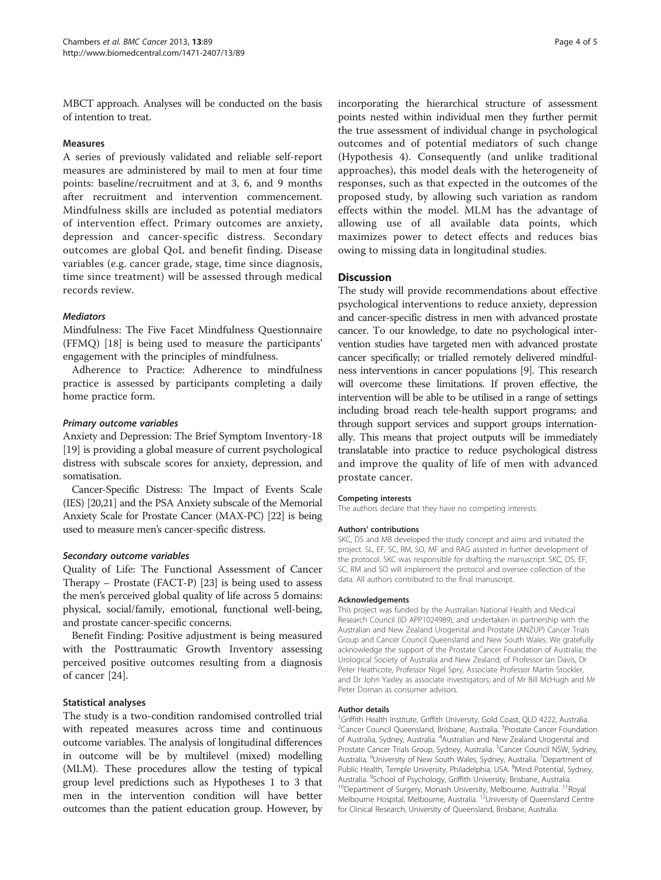MBCT approach. Analyses will be conducted on the basis of intention to treat.

#### Measures

A series of previously validated and reliable self-report measures are administered by mail to men at four time points: baseline/recruitment and at 3, 6, and 9 months after recruitment and intervention commencement. Mindfulness skills are included as potential mediators of intervention effect. Primary outcomes are anxiety, depression and cancer-specific distress. Secondary outcomes are global QoL and benefit finding. Disease variables (e.g. cancer grade, stage, time since diagnosis, time since treatment) will be assessed through medical records review.

#### Mediators

Mindfulness: The Five Facet Mindfulness Questionnaire (FFMQ) [\[18\]](#page-4-0) is being used to measure the participants' engagement with the principles of mindfulness.

Adherence to Practice: Adherence to mindfulness practice is assessed by participants completing a daily home practice form.

### Primary outcome variables

Anxiety and Depression: The Brief Symptom Inventory-18 [[19](#page-4-0)] is providing a global measure of current psychological distress with subscale scores for anxiety, depression, and somatisation.

Cancer-Specific Distress: The Impact of Events Scale (IES) [[20,21](#page-4-0)] and the PSA Anxiety subscale of the Memorial Anxiety Scale for Prostate Cancer (MAX-PC) [\[22](#page-4-0)] is being used to measure men's cancer-specific distress.

#### Secondary outcome variables

Quality of Life: The Functional Assessment of Cancer Therapy – Prostate (FACT-P) [[23](#page-4-0)] is being used to assess the men's perceived global quality of life across 5 domains: physical, social/family, emotional, functional well-being, and prostate cancer-specific concerns.

Benefit Finding: Positive adjustment is being measured with the Posttraumatic Growth Inventory assessing perceived positive outcomes resulting from a diagnosis of cancer [\[24](#page-4-0)].

#### Statistical analyses

The study is a two-condition randomised controlled trial with repeated measures across time and continuous outcome variables. The analysis of longitudinal differences in outcome will be by multilevel (mixed) modelling (MLM). These procedures allow the testing of typical group level predictions such as Hypotheses 1 to 3 that men in the intervention condition will have better outcomes than the patient education group. However, by

incorporating the hierarchical structure of assessment points nested within individual men they further permit the true assessment of individual change in psychological outcomes and of potential mediators of such change (Hypothesis 4). Consequently (and unlike traditional approaches), this model deals with the heterogeneity of responses, such as that expected in the outcomes of the proposed study, by allowing such variation as random effects within the model. MLM has the advantage of allowing use of all available data points, which maximizes power to detect effects and reduces bias owing to missing data in longitudinal studies.

#### **Discussion**

The study will provide recommendations about effective psychological interventions to reduce anxiety, depression and cancer-specific distress in men with advanced prostate cancer. To our knowledge, to date no psychological intervention studies have targeted men with advanced prostate cancer specifically; or trialled remotely delivered mindfulness interventions in cancer populations [\[9\]](#page-4-0). This research will overcome these limitations. If proven effective, the intervention will be able to be utilised in a range of settings including broad reach tele-health support programs; and through support services and support groups internationally. This means that project outputs will be immediately translatable into practice to reduce psychological distress and improve the quality of life of men with advanced prostate cancer.

#### Competing interests

The authors declare that they have no competing interests.

#### Authors' contributions

SKC, DS and MB developed the study concept and aims and initiated the project. SL, EF, SC, RM, SO, MF and RAG assisted in further development of the protocol. SKC was responsible for drafting the manuscript. SKC, DS, EF, SC, RM and SO will implement the protocol and oversee collection of the data. All authors contributed to the final manuscript.

#### Acknowledgements

This project was funded by the Australian National Health and Medical Research Council (ID APP1024989), and undertaken in partnership with the Australian and New Zealand Urogenital and Prostate (ANZUP) Cancer Trials Group and Cancer Council Queensland and New South Wales. We gratefully acknowledge the support of the Prostate Cancer Foundation of Australia; the Urological Society of Australia and New Zealand; of Professor Ian Davis, Dr Peter Heathcote, Professor Nigel Spry, Associate Professor Martin Stockler, and Dr John Yaxley as associate investigators; and of Mr Bill McHugh and Mr Peter Dornan as consumer advisors.

#### Author details

<sup>1</sup>Griffith Health Institute, Griffith University, Gold Coast, QLD 4222, Australia <sup>2</sup> Cancer Council Queensland, Brisbane, Australia. <sup>3</sup> Prostate Cancer Foundation of Australia, Sydney, Australia. <sup>4</sup>Australian and New Zealand Urogenital and Prostate Cancer Trials Group, Sydney, Australia. <sup>5</sup>Cancer Council NSW, Sydney Australia. <sup>6</sup>University of New South Wales, Sydney, Australia. <sup>7</sup>Department of Public Health, Temple University, Philadelphia, USA. <sup>8</sup>Mind Potential, Sydney, Australia. <sup>9</sup>School of Psychology, Griffith University, Brisbane, Australia. <sup>10</sup>Department of Surgery, Monash University, Melbourne, Australia. <sup>11</sup>Royal Melbourne Hospital, Melbourne, Australia. <sup>12</sup>University of Queensland Centre for Clinical Research, University of Queensland, Brisbane, Australia.